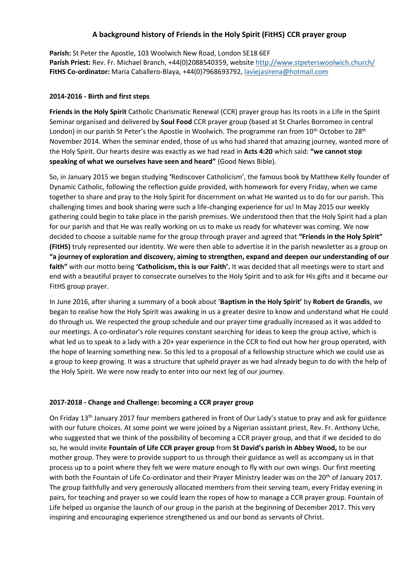## **A background history of Friends in the Holy Spirit (FitHS) CCR prayer group**

**Parish:** St Peter the Apostle, 103 Woolwich New Road, London SE18 6EF **Parish Priest:** Rev. Fr. Michael Branch, +44(0)2088540359, website<http://www.stpeterswoolwich.church/> **FitHS Co-ordinator:** Maria Caballero-Blaya, +44(0)7968693792, [laviejasirena@hotmail.com](mailto:laviejasirena@hotmail.com)

## **2014-2016 - Birth and first steps**

**Friends in the Holy Spirit** Catholic Charismatic Renewal (CCR) prayer group has its roots in a Life in the Spirit Seminar organised and delivered by **Soul Food** CCR prayer group (based at St Charles Borromeo in central London) in our parish St Peter's the Apostle in Woolwich. The programme ran from 10<sup>th</sup> October to 28<sup>th</sup> November 2014. When the seminar ended, those of us who had shared that amazing journey, wanted more of the Holy Spirit. Our hearts desire was exactly as we had read in **Acts 4:20** which said: **"we cannot stop speaking of what we ourselves have seen and heard"** (Good News Bible).

So, in January 2015 we began studying **'**Rediscover Catholicism', the famous book by Matthew Kelly founder of Dynamic Catholic, following the reflection guide provided, with homework for every Friday, when we came together to share and pray to the Holy Spirit for discernment on what He wanted us to do for our parish. This challenging times and book sharing were such a life-changing experience for us! In May 2015 our weekly gathering could begin to take place in the parish premises. We understood then that the Holy Spirit had a plan for our parish and that He was really working on us to make us ready for whatever was coming. We now decided to choose a suitable name for the group through prayer and agreed that **"Friends in the Holy Spirit" (FitHS)** truly represented our identity. We were then able to advertise it in the parish newsletter as a group on **"a journey of exploration and discovery, aiming to strengthen, expand and deepen our understanding of our faith"** with our motto being **'Catholicism, this is our Faith'.** It was decided that all meetings were to start and end with a beautiful prayer to consecrate ourselves to the Holy Spirit and to ask for His gifts and it became our FitHS group prayer.

In June 2016, after sharing a summary of a book about '**Baptism in the Holy Spirit'** by **Robert de Grandis**, we began to realise how the Holy Spirit was awaking in us a greater desire to know and understand what He could do through us. We respected the group schedule and our prayer time gradually increased as it was added to our meetings. A co-ordinator's role requires constant searching for ideas to keep the group active, which is what led us to speak to a lady with a 20+ year experience in the CCR to find out how her group operated, with the hope of learning something new. So this led to a proposal of a fellowship structure which we could use as a group to keep growing. It was a structure that upheld prayer as we had already begun to do with the help of the Holy Spirit. We were now ready to enter into our next leg of our journey.

## **2017-2018 - Change and Challenge: becoming a CCR prayer group**

On Friday 13<sup>th</sup> January 2017 four members gathered in front of Our Lady's statue to pray and ask for guidance with our future choices. At some point we were joined by a Nigerian assistant priest, Rev. Fr. Anthony Uche, who suggested that we think of the possibility of becoming a CCR prayer group, and that if we decided to do so, he would invite **Fountain of Life CCR prayer group** from **St David's parish in Abbey Wood,** to be our mother group. They were to provide support to us through their guidance as well as accompany us in that process up to a point where they felt we were mature enough to fly with our own wings. Our first meeting with both the Fountain of Life Co-ordinator and their Prayer Ministry leader was on the 20<sup>th</sup> of January 2017. The group faithfully and very generously allocated members from their serving team, every Friday evening in pairs, for teaching and prayer so we could learn the ropes of how to manage a CCR prayer group. Fountain of Life helped us organise the launch of our group in the parish at the beginning of December 2017. This very inspiring and encouraging experience strengthened us and our bond as servants of Christ.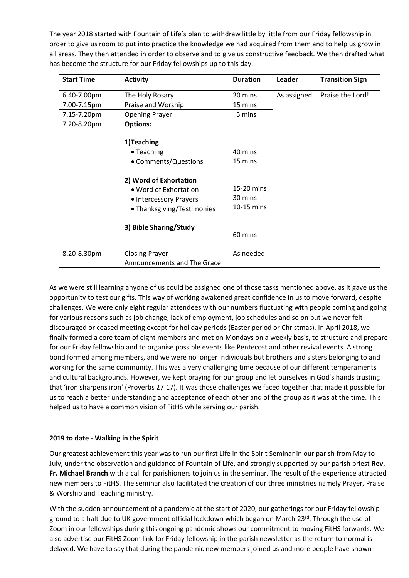The year 2018 started with Fountain of Life's plan to withdraw little by little from our Friday fellowship in order to give us room to put into practice the knowledge we had acquired from them and to help us grow in all areas. They then attended in order to observe and to give us constructive feedback. We then drafted what has become the structure for our Friday fellowships up to this day.

| <b>Start Time</b> | <b>Activity</b>                                                                                         | <b>Duration</b>                     | Leader      | <b>Transition Sign</b> |
|-------------------|---------------------------------------------------------------------------------------------------------|-------------------------------------|-------------|------------------------|
| 6.40-7.00pm       | The Holy Rosary                                                                                         | 20 mins                             | As assigned | Praise the Lord!       |
| 7.00-7.15pm       | Praise and Worship                                                                                      | 15 mins                             |             |                        |
| 7.15-7.20pm       | <b>Opening Prayer</b>                                                                                   | 5 mins                              |             |                        |
| 7.20-8.20pm       | <b>Options:</b>                                                                                         |                                     |             |                        |
|                   | 1)Teaching<br>• Teaching<br>• Comments/Questions                                                        | 40 mins<br>15 mins                  |             |                        |
|                   | 2) Word of Exhortation<br>• Word of Exhortation<br>• Intercessory Prayers<br>• Thanksgiving/Testimonies | 15-20 mins<br>30 mins<br>10-15 mins |             |                        |
|                   | 3) Bible Sharing/Study                                                                                  | 60 mins                             |             |                        |
| 8.20-8.30pm       | <b>Closing Prayer</b><br>Announcements and The Grace                                                    | As needed                           |             |                        |

As we were still learning anyone of us could be assigned one of those tasks mentioned above, as it gave us the opportunity to test our gifts. This way of working awakened great confidence in us to move forward, despite challenges. We were only eight regular attendees with our numbers fluctuating with people coming and going for various reasons such as job change, lack of employment, job schedules and so on but we never felt discouraged or ceased meeting except for holiday periods (Easter period or Christmas). In April 2018, we finally formed a core team of eight members and met on Mondays on a weekly basis, to structure and prepare for our Friday fellowship and to organise possible events like Pentecost and other revival events. A strong bond formed among members, and we were no longer individuals but brothers and sisters belonging to and working for the same community. This was a very challenging time because of our different temperaments and cultural backgrounds. However, we kept praying for our group and let ourselves in God's hands trusting that 'iron sharpens iron' (Proverbs 27:17). It was those challenges we faced together that made it possible for us to reach a better understanding and acceptance of each other and of the group as it was at the time. This helped us to have a common vision of FitHS while serving our parish.

## **2019 to date - Walking in the Spirit**

Our greatest achievement this year was to run our first Life in the Spirit Seminar in our parish from May to July, under the observation and guidance of Fountain of Life, and strongly supported by our parish priest **Rev. Fr. Michael Branch** with a call for parishioners to join us in the seminar. The result of the experience attracted new members to FitHS. The seminar also facilitated the creation of our three ministries namely Prayer, Praise & Worship and Teaching ministry.

With the sudden announcement of a pandemic at the start of 2020, our gatherings for our Friday fellowship ground to a halt due to UK government official lockdown which began on March 23<sup>rd</sup>. Through the use of Zoom in our fellowships during this ongoing pandemic shows our commitment to moving FitHS forwards. We also advertise our FitHS Zoom link for Friday fellowship in the parish newsletter as the return to normal is delayed. We have to say that during the pandemic new members joined us and more people have shown